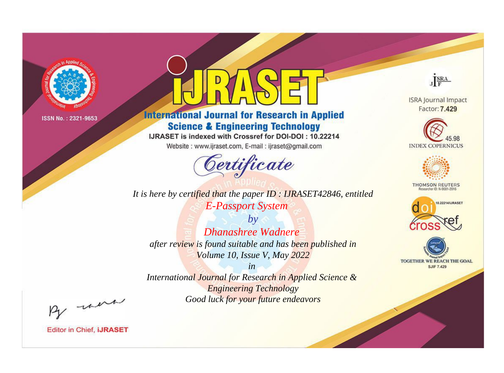

# **International Journal for Research in Applied Science & Engineering Technology**

IJRASET is indexed with Crossref for DOI-DOI: 10.22214

Website: www.ijraset.com, E-mail: ijraset@gmail.com



JERA

**ISRA Journal Impact** Factor: 7.429





**THOMSON REUTERS** 



TOGETHER WE REACH THE GOAL **SJIF 7.429** 

It is here by certified that the paper ID: IJRASET42846, entitled **E-Passport System** 

 $b\nu$ **Dhanashree Wadnere** after review is found suitable and has been published in Volume 10, Issue V, May 2022

 $in$ International Journal for Research in Applied Science & **Engineering Technology** Good luck for your future endeavors

By morn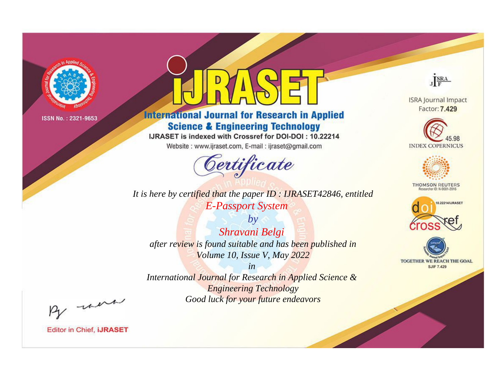

# **International Journal for Research in Applied Science & Engineering Technology**

IJRASET is indexed with Crossref for DOI-DOI: 10.22214

Website: www.ijraset.com, E-mail: ijraset@gmail.com



It is here by certified that the paper ID: IJRASET42846, entitled **E-Passport System** 

 $by$ Shravani Belgi after review is found suitable and has been published in Volume 10, Issue V, May 2022

 $in$ International Journal for Research in Applied Science & **Engineering Technology** Good luck for your future endeavors



**ISRA Journal Impact** Factor: 7.429





**THOMSON REUTERS** 



TOGETHER WE REACH THE GOAL **SJIF 7.429** 

By morn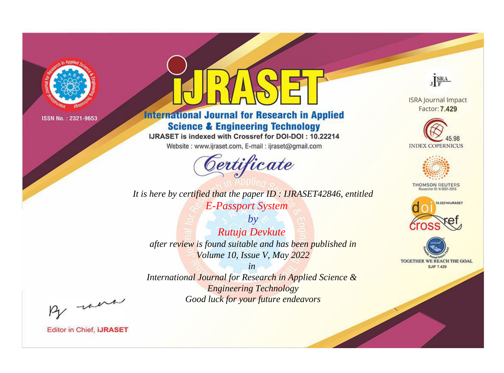

# **International Journal for Research in Applied Science & Engineering Technology**

IJRASET is indexed with Crossref for DOI-DOI: 10.22214

Website: www.ijraset.com, E-mail: ijraset@gmail.com



It is here by certified that the paper ID: IJRASET42846, entitled **E-Passport System** 

 $by$ Rutuja Devkute after review is found suitable and has been published in Volume 10, Issue V, May 2022

 $in$ International Journal for Research in Applied Science & **Engineering Technology** Good luck for your future endeavors



**ISRA Journal Impact** Factor: 7.429





**THOMSON REUTERS** 



TOGETHER WE REACH THE GOAL **SJIF 7.429** 

By morn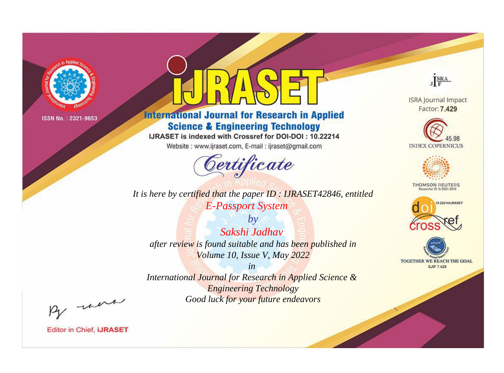

# **International Journal for Research in Applied Science & Engineering Technology**

IJRASET is indexed with Crossref for DOI-DOI: 10.22214

Website: www.ijraset.com, E-mail: ijraset@gmail.com



It is here by certified that the paper ID: IJRASET42846, entitled **E-Passport System** 

 $by$ Sakshi Jadhav after review is found suitable and has been published in Volume 10, Issue V, May 2022

 $in$ International Journal for Research in Applied Science & **Engineering Technology** Good luck for your future endeavors



**ISRA Journal Impact** Factor: 7.429





**THOMSON REUTERS** 



TOGETHER WE REACH THE GOAL **SJIF 7.429** 

By morn